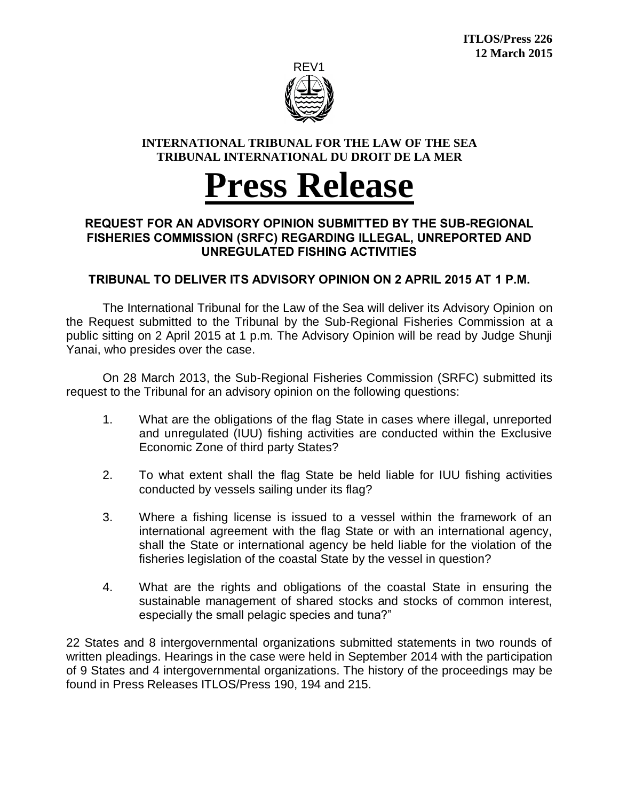

## **INTERNATIONAL TRIBUNAL FOR THE LAW OF THE SEA TRIBUNAL INTERNATIONAL DU DROIT DE LA MER**

# **Press Release**

## **REQUEST FOR AN ADVISORY OPINION SUBMITTED BY THE SUB-REGIONAL FISHERIES COMMISSION (SRFC) REGARDING ILLEGAL, UNREPORTED AND UNREGULATED FISHING ACTIVITIES**

# **TRIBUNAL TO DELIVER ITS ADVISORY OPINION ON 2 APRIL 2015 AT 1 P.M.**

The International Tribunal for the Law of the Sea will deliver its Advisory Opinion on the Request submitted to the Tribunal by the Sub-Regional Fisheries Commission at a public sitting on 2 April 2015 at 1 p.m. The Advisory Opinion will be read by Judge Shunji Yanai, who presides over the case.

On 28 March 2013, the Sub-Regional Fisheries Commission (SRFC) submitted its request to the Tribunal for an advisory opinion on the following questions:

- 1. What are the obligations of the flag State in cases where illegal, unreported and unregulated (IUU) fishing activities are conducted within the Exclusive Economic Zone of third party States?
- 2. To what extent shall the flag State be held liable for IUU fishing activities conducted by vessels sailing under its flag?
- 3. Where a fishing license is issued to a vessel within the framework of an international agreement with the flag State or with an international agency, shall the State or international agency be held liable for the violation of the fisheries legislation of the coastal State by the vessel in question?
- 4. What are the rights and obligations of the coastal State in ensuring the sustainable management of shared stocks and stocks of common interest, especially the small pelagic species and tuna?"

22 States and 8 intergovernmental organizations submitted statements in two rounds of written pleadings. Hearings in the case were held in September 2014 with the participation of 9 States and 4 intergovernmental organizations. The history of the proceedings may be found in Press Releases ITLOS/Press 190, 194 and 215.